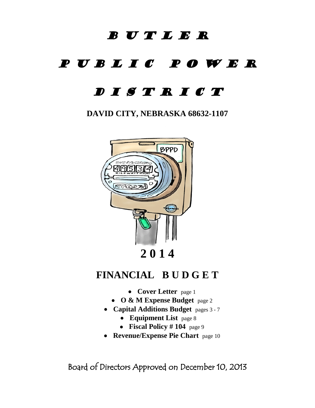# B U T L E R

# P U B L I C P O W E R

# D I S T R I C T

**DAVID CITY, NEBRASKA 68632-1107**



# **FINANCIAL B U D G E T**

- **[Cover Letter](#page-1-0)** page 1
- **[O & M Expense Budget](#page-2-0)** page 2
- **[Capital Additions Budget](#page-3-0)** pages 3 7
	- **[Equipment](#page-8-0) List** page 8
	- **[Fiscal Policy](#page-9-0) # 104** page 9
- **[Revenue/Expense Pie Chart](#page-10-0)** page 10

Board of Directors Approved on December 10, 2013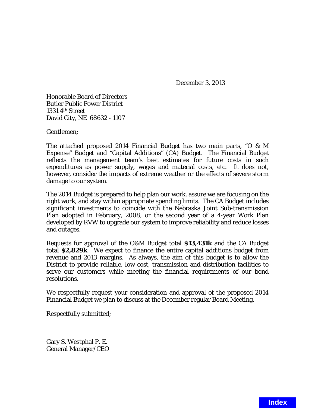December 3, 2013

<span id="page-1-0"></span>Honorable Board of Directors Butler Public Power District 1331 4th Street David City, NE 68632 - 1107

Gentlemen;

The attached proposed 2014 Financial Budget has two main parts, "O & M Expense" Budget and "Capital Additions" (CA) Budget. The Financial Budget reflects the management team's best estimates for future costs in such expenditures as power supply, wages and material costs, etc. It does not, however, consider the impacts of extreme weather or the effects of severe storm damage to our system.

The 2014 Budget is prepared to help plan our work, assure we are focusing on the right work, and stay within appropriate spending limits. The CA Budget includes significant investments to coincide with the Nebraska Joint Sub-transmission Plan adopted in February, 2008, or the second year of a 4-year Work Plan developed by RVW to upgrade our system to improve reliability and reduce losses and outages.

Requests for approval of the O&M Budget total **\$13,431k** and the CA Budget total **\$2,829k**. We expect to finance the entire capital additions budget from revenue and 2013 margins. As always, the aim of this budget is to allow the District to provide reliable, low cost, transmission and distribution facilities to serve our customers while meeting the financial requirements of our bond resolutions.

We respectfully request your consideration and approval of the proposed 2014 Financial Budget we plan to discuss at the December regular Board Meeting.

Respectfully submitted;

Gary S. Westphal P. E. General Manager/CEO

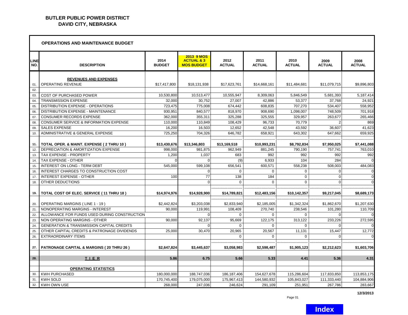## <span id="page-2-0"></span>**BUTLER PUBLIC POWER DISTRICT DAVID CITY, NEBRASKA**

|             | <b>OPERATIONS AND MAINTENANCE BUDGET</b>             |                       |                                                          |                       |                       |                       |                       |                       |  |
|-------------|------------------------------------------------------|-----------------------|----------------------------------------------------------|-----------------------|-----------------------|-----------------------|-----------------------|-----------------------|--|
| LINE<br>NO. | <b>DESCRIPTION</b>                                   | 2014<br><b>BUDGET</b> | 2013 9 MOS<br><b>ACTUAL &amp; 3</b><br><b>MOS BUDGET</b> | 2012<br><b>ACTUAL</b> | 2011<br><b>ACTUAL</b> | 2010<br><b>ACTUAL</b> | 2009<br><b>ACTUAL</b> | 2008<br><b>ACTUAL</b> |  |
|             | <b>REVENUES AND EXPENSES</b>                         |                       |                                                          |                       |                       |                       |                       |                       |  |
| 01.         | OPERATING REVENUE                                    | \$17.417.800          | \$18.131.938                                             | \$17.623.761          | \$14.668.161          | \$11.484.681          | \$11.079.715          | \$9,896,803           |  |
| 02.         |                                                      |                       |                                                          |                       |                       |                       |                       |                       |  |
| 03.         | <b>COST OF PURCHASED POWER</b>                       | 10,530,800            | 10,513,477                                               | 10,555,947            | 8,309,063             | 5,846,549             | 5,681,393             | 5,187,414             |  |
| 04.         | <b>TRANSMISSION EXPENSE</b>                          | 32,000                | 30.752                                                   | 27,007                | 42,886                | 53,377                | 37,768                | 24,921                |  |
| 05.         | DISTRIBUTION EXPENSE - OPERATIONS                    | 723,475               | 775,008                                                  | 674,442               | 608,835               | 707,270               | 534,407               | 558,952               |  |
| 06.         | DISTRIBUTION EXPENSE - MAINTENANCE                   | 930,951               | 840,577                                                  | 818,970               | 908,690               | 1,098,007             | 748,509               | 701,918               |  |
| 07.         | <b>CONSUMER RECORDS EXPENSE</b>                      | 362.000               | 355.311                                                  | 325.288               | 325.555               | 329.957               | 263.677               | 265,466               |  |
| 08.         | <b>CONSUMER SERVICE &amp; INFORMATION EXPENSE</b>    | 110,000               | 110,849                                                  | 108,429               | 96,733                | 70,779                | $\overline{2}$        | 869                   |  |
| 09.         | <b>SALES EXPENSE</b>                                 | 16,200                | 16,503                                                   | 12,652                | 42,548                | 43,592                | 36,607                | 41,623                |  |
| 10.         | ADMINISTRATIVE & GENERAL EXPENSE                     | 725.250               | 704.326                                                  | 646,782               | 658,921               | 643.302               | 647.662               | 659,925               |  |
|             |                                                      |                       |                                                          |                       |                       |                       |                       |                       |  |
| 11.         | TOTAL OPER. & MAINT. EXPENSE ( 2 THRU 10 )           | \$13,430,676          | \$13,346,803                                             | \$13,169,518          | \$10,993,231          | \$8,792,834           | \$7,950,025           | \$7,441,088           |  |
| 12.         | DEPRECIATION & AMORTIZATION EXPENSE                  | 998.000               | 981,875                                                  | 962.949               | 881,245               | 790,190               | 757,741               | 763,010               |  |
| 13.         | TAX EXPENSE - PROPERTY                               | 1.200                 | 1.037                                                    | 683                   | 992                   | 992                   | 992                   | 992                   |  |
| 14.         | TAX EXPENSE - OTHER                                  |                       |                                                          | (9)                   | 6,933                 | 104                   | 284                   | $\Omega$              |  |
| 15.         | <b>INTEREST ON LONG - TERM DEBT</b>                  | 545,000               | 599,108                                                  | 656,541               | 600.571               | 558,238               | 508,003               | 484,083               |  |
| 16.         | INTEREST CHARGES TO CONSTRUCTION COST                |                       | $\Omega$                                                 | $\Omega$              | $\Omega$              | $\Omega$              | $\Omega$              | $\Omega$              |  |
| 17.         | <b>INTEREST EXPENSE - OTHER</b>                      | 100                   | 77                                                       | 138                   | 184                   | $\mathbf{0}$          | $\mathbf{0}$          | $\overline{0}$        |  |
| 18.         | OTHER DEDUCTIONS                                     |                       | $\Omega$                                                 | $\Omega$              | $\mathbf 0$           | $\Omega$              | $\Omega$              | $\Omega$              |  |
|             |                                                      |                       |                                                          |                       |                       |                       |                       |                       |  |
| 19.         | TOTAL COST OF ELEC. SERVICE (11 THRU 18)             | \$14,974,976          | \$14,928,900                                             | \$14,789,821          | \$12,483,156          | \$10,142,357          | \$9,217,045           | \$8,689,173           |  |
|             |                                                      |                       |                                                          |                       |                       |                       |                       |                       |  |
| 20.         | OPERATING MARGINS (LINE 1 - 19)                      | \$2,442,824           | \$3,203,038                                              | \$2,833,940           | \$2,185,005           | \$1,342,324           | \$1,862,670           | \$1,207,630           |  |
| 21.         | NONOPERATING MARGINS - INTEREST                      | 90.000                | 119.991                                                  | 108,409               | 270.740               | 238,546               | 101.280               | 110,709               |  |
| 22.         | ALLOWANCE FOR FUNDS USED DURING CONSTRUCTION         |                       |                                                          | $\Omega$              | $\Omega$              | $\Omega$              | $\Omega$              |                       |  |
| 23.         | NON OPERATING MARGINS - OTHER                        | 90,000                | 92,137                                                   | 95,669                | 122,175               | 313,122               | 233,226               | 272,595               |  |
| 24.         | <b>GENERATION &amp; TRANSMISSION CAPITAL CREDITS</b> |                       | $\Omega$                                                 | $\Omega$              | $\Omega$              | $\Omega$              | $\Omega$              | $\Omega$              |  |
| 25.         | OTHER CAPITAL CREDITS & PATRONAGE DIVIDENDS          | 25,000                | 30,470                                                   | 20,965                | 20,567                | 11,131                | 15,447                | 12,772                |  |
| 26.         | <b>EXTRAORDINARY ITEMS</b>                           |                       |                                                          | $\Omega$              | $\mathbf 0$           | $\Omega$              | $\Omega$              | $\Omega$              |  |
| 27.         | <b>PATRONAGE CAPITAL &amp; MARGINS (20 THRU 26)</b>  | \$2,647,824           | \$3,445,637                                              | \$3,058,983           | \$2,598,487           | \$1,905,123           | \$2,212,623           | \$1,603,706           |  |
|             |                                                      |                       |                                                          |                       |                       |                       |                       |                       |  |
| 28.         | TIER                                                 | 5.86                  | 6.75                                                     | 5.66                  | 5.33                  | 4.41                  | 5.36                  | 4.31                  |  |
|             |                                                      |                       |                                                          |                       |                       |                       |                       |                       |  |
|             | <b>OPERATING STATISTICS</b>                          |                       |                                                          |                       |                       |                       |                       |                       |  |
| 30.         | <b>KWH PURCHASED</b>                                 | 180,000,000           | 188,747,036                                              | 186, 187, 406         | 154,627,678           | 115,286,604           | 117,833,850           | 113,853,175           |  |
| 31.         | <b>KWH SOLD</b>                                      | 170,745,400           | 179,075,000                                              | 175,967,413           | 144,580,932           | 105,843,027           | 111,333,440           | 104,884,906           |  |
| 32.         | <b>KWH OWN USE</b>                                   | 268,000               | 247,036                                                  | 246,624               | 291,109               | 251,951               | 267,786               | 283,667               |  |

**12/3/2013**

ä.

Page 01

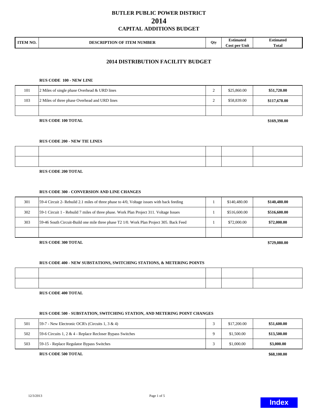<span id="page-3-0"></span>

| <b>ITEM NO</b><br>IV. | <b>NUMBER</b><br>OF<br><b>DESCRIPTION</b><br><b>TTEM</b> | Otv | ∠stimated        | Estimated                  |
|-----------------------|----------------------------------------------------------|-----|------------------|----------------------------|
|                       |                                                          |     | Unit<br>Cost per | <b>CONTRACTOR</b><br>Fotal |

### **2014 DISTRIBUTION FACILITY BUDGET**

#### **RUS CODE 100 - NEW LINE**

| 101 | 2 Miles of single phase Overhead & URD lines  | ∸ | \$25,860.00 | \$51,720.00  |
|-----|-----------------------------------------------|---|-------------|--------------|
| 103 | 2 Miles of three phase Overhead and URD lines | ∸ | \$58,839.00 | \$117,678.00 |
|     |                                               |   |             |              |

#### **RUS CODE 100 TOTAL**

**\$169,398.00**

#### **RUS CODE 200 - NEW TIE LINES**

#### **RUS CODE 200 TOTAL**

#### **RUS CODE 300 - CONVERSION AND LINE CHANGES**

| 301 | [59-4 Circuit 2- Rebuild 2.1 miles of three phase to 4/0, Voltage issues with back feeding | \$140,480.00 | \$140,480.00 |
|-----|--------------------------------------------------------------------------------------------|--------------|--------------|
| 302 | [59-1 Circuit 1 - Rebuild 7 miles of three phase. Work Plan Project 311. Voltage Issues    | \$516,600.00 | \$516,600.00 |
| 303 | 59-46 South Circuit-Build one mile three phase T2 1/0. Work Plan Project 305. Back Feed    | \$72,000.00  | \$72,000.00  |
|     |                                                                                            |              |              |

**RUS CODE 300 TOTAL**

**\$729,080.00**

## **RUS CODE 400 - NEW SUBSTATIONS, SWITCHING STATIONS, & METERING POINTS**

**RUS CODE 400 TOTAL**

### **RUS CODE 500 - SUBSTATION, SWITCHING STATION, AND METERING POINT CHANGES**

| 501 | 59-7 - New Electronic OCR's (Circuits 1, 3 & 4)           | \$17,200.00 | \$51,600.00 |
|-----|-----------------------------------------------------------|-------------|-------------|
| 502 | 59-6 Circuits 1, 2 & 4 - Replace Recloser Bypass Switches | \$1,500.00  | \$13,500.00 |
| 503 | 59-15 - Replace Regulator Bypass Switches                 | \$1,000.00  | \$3,000.00  |

#### **RUS CODE 500 TOTAL**

**\$68,100.00**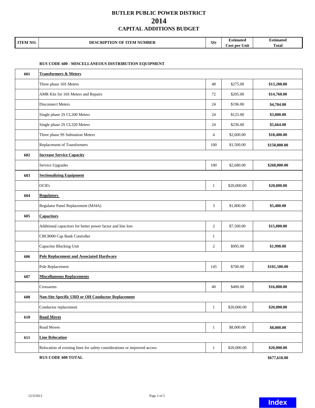| <b>ITEM NO.</b> | <b>CRIPTION OF</b><br>' NUMBER<br>' ITEM<br>DES<br>$\mathcal{L}$ |     | Estimated                      | $\cdot$ .<br><b>Estimated</b> |
|-----------------|------------------------------------------------------------------|-----|--------------------------------|-------------------------------|
|                 |                                                                  | Otv | $-$<br>. .<br>∴ost per<br>Unit | Total                         |

### **RUS CODE 600 - MISCELLANEOUS DISTRIBUTION EQUIPMENT**

| 601 | <b>Transformers &amp; Meters</b>                                          |                |             |              |
|-----|---------------------------------------------------------------------------|----------------|-------------|--------------|
|     | Three phase 16S Meters                                                    | 48             | \$275.00    | \$13,200.00  |
|     | AMR Kits for 16S Meters and Repairs                                       | 72             | \$205.00    | \$14,760.00  |
|     | <b>Disconnect Meters</b>                                                  | 24             | \$196.00    | \$4,704.00   |
|     | Single phase 2S CL200 Meters                                              | 24             | \$125.00    | \$3,000.00   |
|     | Single phase 2S CL320 Meters                                              | 24             | \$236.00    | \$5,664.00   |
|     | Three phase 9S Substation Meters                                          | $\overline{4}$ | \$2,600.00  | \$10,400.00  |
|     | Replacement of Transformers                                               | 100            | \$1,500.00  | \$150,000.00 |
| 602 | <b>Increase Service Capacity</b>                                          |                |             |              |
|     | Service Upgrades                                                          | 100            | \$2,680.00  | \$268,000.00 |
| 603 | <b>Sectionalizing Equipment</b>                                           |                |             |              |
|     | OCR's                                                                     | $\mathbf{1}$   | \$20,000.00 | \$20,000.00  |
| 604 | <b>Regulators</b>                                                         |                |             |              |
|     | Regulator Panel Replacement (MJ4A)                                        | 3              | \$1,800.00  | \$5,400.00   |
| 605 | <b>Capacitors</b>                                                         |                |             |              |
|     | Additional capacitors for better power factor and line loss               | 2              | \$7,500.00  | \$15,000.00  |
|     | CBC8000 Cap Bank Controller                                               | 1              |             |              |
|     | Capacitor Blocking Unit                                                   | 2              | \$995.00    | \$1,990.00   |
| 606 | <b>Pole Replacement and Associated Hardware</b>                           |                |             |              |
|     | Pole Replacement                                                          | 145            | \$700.00    | \$101,500.00 |
| 607 | <b>Miscellaneous Replacements</b>                                         |                |             |              |
|     | Crossarms                                                                 | 40             | \$400.00    | \$16,000.00  |
| 608 | <b>Non-Site Specific URD or OH Conductor Replacement</b>                  |                |             |              |
|     | Conductor replacement                                                     | $\mathbf{1}$   | \$20,000.00 | \$20,000.00  |
| 610 | <b>Road Moves</b>                                                         |                |             |              |
|     | Road Moves                                                                | $\mathbf{1}$   | \$8,000.00  | \$8,000.00   |
| 611 | <b>Line Relocation</b>                                                    |                |             |              |
|     | Relocation of existing lines for safety considerations or improved access | $\mathbf{1}$   | \$20,000.00 | \$20,000.00  |

**RUS CODE 600 TOTAL**

**\$677,618.00**

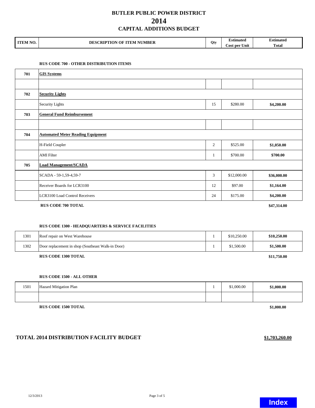| <b>ITEM NO</b><br>'NU. | 'RIPTION<br>' NUMBER<br>$\Omega$<br>$\mathbf{^T}\mathbf{TEM}$ .<br>DE | Otv | ımated                  | Estimated    |
|------------------------|-----------------------------------------------------------------------|-----|-------------------------|--------------|
|                        |                                                                       |     | <b>Cost per</b><br>Unit | <b>Total</b> |

### **RUS CODE 700 - OTHER DISTRIBUTION ITEMS**

| 701 | <b>GIS Systems</b>                       |                |             |             |  |
|-----|------------------------------------------|----------------|-------------|-------------|--|
|     |                                          |                |             |             |  |
| 702 | <b>Security Lights</b>                   |                |             |             |  |
|     | Security Lights                          | 15             | \$280.00    | \$4,200.00  |  |
| 703 | <b>General Fund Reimbursement</b>        |                |             |             |  |
|     |                                          |                |             |             |  |
| 704 | <b>Automated Meter Reading Equipment</b> |                |             |             |  |
|     | H-Field Coupler                          | $\overline{2}$ | \$525.00    | \$1,050.00  |  |
|     | <b>AMI</b> Filter                        | 1              | \$700.00    | \$700.00    |  |
| 705 | <b>Load Management/SCADA</b>             |                |             |             |  |
|     | SCADA - 59-1,59-4,59-7                   | 3              | \$12,000.00 | \$36,000.00 |  |
|     | Receiver Boards for LCR3100              | 12             | \$97.00     | \$1,164.00  |  |
|     | LCR3100 Load Control Receivers           | 24             | \$175.00    | \$4,200.00  |  |

 **RUS CODE 700 TOTAL**

**\$47,314.00**

#### **RUS CODE 1300 - HEADQUARTERS & SERVICE FACILITIES**

|      | <b>RUS CODE 1300 TOTAL</b>                        |             | \$11,750.00 |
|------|---------------------------------------------------|-------------|-------------|
| 1302 | Door replacement in shop (Southeast Walk-in Door) | \$1,500.00  | \$1,500.00  |
| 1301 | Roof repair on West Warehouse                     | \$10,250.00 | \$10,250.00 |

#### **RUS CODE 1300 TOTAL**

### **RUS CODE 1500 - ALL OTHER**

| 1501 | Hazard Mitigation Plan | \$1,000.00 | \$1,000.00 |
|------|------------------------|------------|------------|
|      |                        |            |            |

**RUS CODE 1500 TOTAL**

## **TOTAL 2014 DISTRIBUTION FACILITY BUDGET**



**\$1,000.00**

**\$1,703,260.00**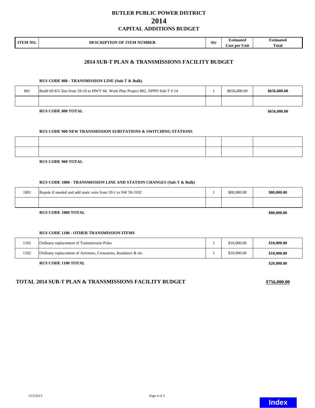| <b>ITEM NO</b><br>NU. | RIPTION OF ITEM NUMBER<br>:CDT<br>DES<br>N.<br>$\mathbf{r}$ |          | <b>stimated</b>                             | Estimated<br>. |
|-----------------------|-------------------------------------------------------------|----------|---------------------------------------------|----------------|
|                       |                                                             | $\bf{U}$ | . <del>. .</del><br><b>Cost per</b><br>Unit | <b>Total</b>   |

## **2014 SUB-T PLAN & TRANSMISSIONS FACILITY BUDGET**

#### **RUS CODE 800 - TRANSMISSION LINE (Sub-T & Bulk)**

| 801 | Build 69 KV line from 59-10 to HWY 66. Work Plan Project 802, NPPD Sub-T #14 | \$656,000.00 | \$656,000.00             |  |  |
|-----|------------------------------------------------------------------------------|--------------|--------------------------|--|--|
|     |                                                                              |              |                          |  |  |
|     | DHE CODE QAA TOTAL                                                           |              | $\phi$ <i>cec</i> and an |  |  |

**RUS CODE 800 TOTAL**

**\$656,000.00**

#### **RUS CODE 900 NEW TRANSMISSION SUBSTATIONS & SWITCHING STATIONS**

**RUS CODE 900 TOTAL**

#### **RUS CODE 1000 - TRANSMISSION LINE AND STATION CHANGES (Sub-T & Bulk)**

| 1001 | Repole if needed and add static wire from 59-1 to SW 59-3102 | \$80,000.00 | \$80,000.00 |
|------|--------------------------------------------------------------|-------------|-------------|
|      |                                                              |             |             |
|      | <b>RUS CODE 1000 TOTAL</b>                                   |             | \$80,000.00 |

**RUS CODE 1000 TOTAL**

#### **RUS CODE 1100 - OTHER TRANSMISSION ITEMS**

| 1101 | Ordinary replacement of Transmission Poles                      | \$10,000.00 | \$10,000.00 |
|------|-----------------------------------------------------------------|-------------|-------------|
| 1102 | Ordinary replacement of Arrestors, Crossarms, Insulators & etc. | \$10.000.00 | \$10,000.00 |

**RUS CODE 1100 TOTAL**

### **TOTAL 2014 SUB-T PLAN & TRANSMISSIONS FACILITY BUDGET \$756,000.00**

**\$20,000.00**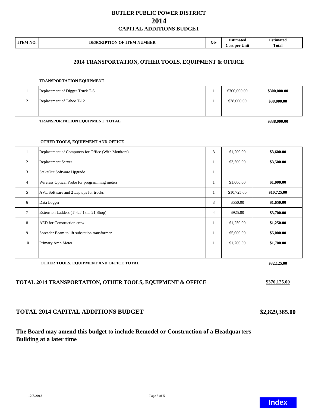| <b>ITEM NO</b><br>IV. | <b>NUMBER</b><br>OF<br><b>DESCRIPTION</b><br><b>TTEM</b> |     | ∠stimated        | Estimated                  |
|-----------------------|----------------------------------------------------------|-----|------------------|----------------------------|
|                       |                                                          | Otv | Unit<br>Cost per | <b>CONTRACTOR</b><br>Fotal |

## **2014 TRANSPORTATION, OTHER TOOLS, EQUIPMENT & OFFICE**

#### **TRANSPORTATION EQUIPMENT**

| Replacement of Digger Truck T-6 | \$300,000.00 | \$300,000.00 |
|---------------------------------|--------------|--------------|
| Replacement of Tahoe T-12       | \$38,000.00  | \$38,000.00  |
|                                 |              |              |

#### **TRANSPORTATION EQUIPMENT TOTAL**

**\$338,000.00**

#### **OTHER TOOLS, EQUIPMENT AND OFFICE**

|                | Replacement of Computers for Office (With Monitors) | 3 | \$1,200.00  | \$3,600.00  |
|----------------|-----------------------------------------------------|---|-------------|-------------|
| 2              | <b>Replacement Server</b>                           |   | \$3,500.00  | \$3,500.00  |
| 3              | StakeOut Software Upgrade                           |   |             |             |
| $\overline{4}$ | Wireless Optical Probe for programming meters       |   | \$1,000.00  | \$1,000.00  |
| 5              | AVL Software and 2 Laptops for trucks               |   | \$10,725.00 | \$10,725.00 |
| 6              | Data Logger                                         | 3 | \$550.00    | \$1,650.00  |
| 7              | Extension Ladders (T-4,T-13,T-21,Shop)              | 4 | \$925.00    | \$3,700.00  |
| 8              | <b>AED</b> for Construction crew                    |   | \$1,250.00  | \$1,250.00  |
| 9              | Spreader Beam to lift substation transformer        |   | \$5,000.00  | \$5,000.00  |
| 10             | Primary Amp Meter                                   |   | \$1,700.00  | \$1,700.00  |
|                |                                                     |   |             |             |

#### **OTHER TOOLS, EQUIPMENT AND OFFICE TOTAL**

## **TOTAL 2014 TRANSPORTATION, OTHER TOOLS, EQUIPMENT & OFFICE**

## **TOTAL 2014 CAPITAL ADDITIONS BUDGET**

## **The Board may amend this budget to include Remodel or Construction of a Headquarters Building at a later time**

12/3/2013 Page 5 of 5

**\$32,125.00**

**\$370,125.00**

**\$2,829,385.00**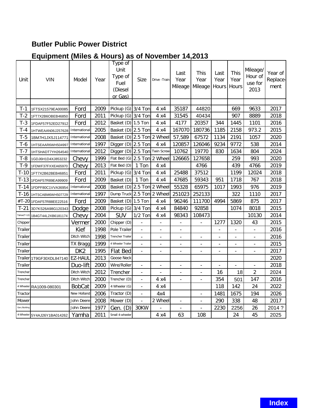# <span id="page-8-0"></span>**Butler Public Power District**

# **Equipment (Miles & Hours) as of November 14,2013**

| Unit          | <b>VIN</b>                  | Model           | Year | Type of<br>Unit<br>Type of<br>Fuel<br>(Diesel<br>or Gas) | Size                     | Drive - Train            | Last<br>Year<br>Mileage  | This<br>Year<br>Mileage  | Last<br>Year<br>Hours    | This<br>Year<br>Hours    | Mileage/<br>Hour of<br>use for<br>2013 | Year of<br>Replace-<br>ment |
|---------------|-----------------------------|-----------------|------|----------------------------------------------------------|--------------------------|--------------------------|--------------------------|--------------------------|--------------------------|--------------------------|----------------------------------------|-----------------------------|
|               |                             |                 |      |                                                          |                          |                          |                          |                          |                          |                          |                                        |                             |
| T-1           | 1FTSX21579EA00085           | Ford            | 2009 | Pickup (G) 3/4 Ton                                       |                          | 4 x4                     | 35187                    | 44820                    |                          | 669                      | 9633                                   | 2017                        |
| $T-2$         | 1FT7X2B6OBEB46850           | Ford            | 2011 | Pickup (G) 3/4 Ton                                       |                          | 4 x 4                    | 31545                    | 40434                    |                          | 907                      | 8889                                   | 2018                        |
| $T-3$         | 1FDAF57F52ED27912           | Ford            | 2012 | Basket (D) 1.5 Ton                                       |                          | 4 x 4                    | 4177                     | 20357                    | 344                      | 1445                     | 1101                                   | 2016                        |
| $T-4$         | 1HTWEAAN06J257628           | International   | 2005 | Basket (D) 2.5 Ton                                       |                          | 4 x 4                    | 167070                   | 180736                   | 1185                     | 2158                     | 973.2                                  | 2015                        |
| $T-5$         | 1BM7H1JXSJ114771            | International   | 2008 | Basket (D) 2.5 Ton 2 Wheel                               |                          |                          | 57,589                   | 67572                    | 1134                     | 2191                     | 1057                                   | 2020                        |
| $T-6$         | 1HTSEAAR6WH504997           | International   | 1997 | Digger $(D)$ 2.5 Ton                                     |                          | 4 x 4                    | 120857                   | 126046                   | 9234                     | 9772                     | 538                                    | 2014                        |
| $T-7$         | 1HTSHADT7YH264540           | International   | 2012 | Digger (D) 2.5 Ton Twin Screw                            |                          |                          | 10762                    | 19770                    | 830                      | 1634                     | 804                                    | 2024                        |
| $T-8$         | 1GDJ6H1D4XJ853232           | Chevy           | 1999 | Flat Bed $(G)$ 2.5 Ton 2 Wheel                           |                          |                          | 126665                   | 127658                   |                          | 259                      | 993                                    | 2020                        |
| $T-9$         | 1FDWF37FXXEA65970           | Chevy           | 2013 | Flat Bed (D)                                             | 1 Ton                    | 4 x 4                    |                          | 4766                     |                          | 439                      | 4766                                   | 2019                        |
| $T-10$        | 1FT7X2B62BEB46851           | Ford            | 2011 | Pickup (G) 3/4 Ton                                       |                          | 4 x 4                    | 25488                    | 37512                    |                          | 1199                     | 12024                                  | 2018                        |
|               | T-13 1FDAF57R89EA99909      | Ford            | 2009 | Basket (D)                                               | 1 Ton                    | 4 x 4                    | 47685                    | 59343                    | 951                      | 1718                     | 767                                    | 2018                        |
|               | T-14 1FDPF80C1VVA36954      | International   | 2008 | Basket (D) 2.5 Ton                                       |                          | 2 Wheel                  | 55328                    | 65975                    | 1017                     | 1993                     | 976                                    | 2019                        |
|               | T-16 1HTSCABM6WH507729      | International   | 1997 | Dump Truck 2.5 Ton 2 Wheel                               |                          |                          | 251023                   | 252133                   |                          | 322                      | 1110                                   | 2017                        |
|               | #T-20 1FDAF57R88EE22516     | Ford            | 2009 | Basket (D) 1.5 Ton                                       |                          | $4 \times 4$             | 96246                    | 111700                   | 4994                     | 5869                     | 875                                    | 2017                        |
| $T-21$        | 3D7KS26A98G120343           | Dodge           | 2008 | Pickup (G) 3/4 Ton                                       |                          | 4 x 4                    | 84840                    | 92858                    |                          | 1074                     | 8018                                   | 2015                        |
| Tahoe(T-12)   | 1B4GT44L2XB6181174          | Chevy           | 2004 | SUV                                                      | $1/2$ Ton                | 4 x 4                    | 98343                    | 108473                   |                          |                          | 10130                                  | 2014                        |
| Chipper       |                             | Vermer          | 2000 | Chipper (D)                                              |                          | $\overline{a}$           | $\overline{a}$           | $\overline{a}$           | 1277                     | 1320                     | 43                                     | 2015                        |
| Trailer       |                             | Kief            | 1998 | Pole Trailer                                             |                          | $\overline{a}$           | $\overline{a}$           |                          |                          |                          |                                        | 2016                        |
| Trailer       |                             | Ditch Witch     | 1998 | <b>Trencher Trailer</b>                                  |                          |                          | $\overline{a}$           |                          |                          |                          |                                        | 2016                        |
| Trailer       |                             | <b>TX Bragg</b> | 1999 | 4 Wheeler Trailer                                        |                          | $\overline{\phantom{a}}$ | $\overline{a}$           |                          |                          |                          |                                        | 2015                        |
| Trailer       |                             | DK <sub>2</sub> | 1995 | <b>Flat Bed</b>                                          |                          | $\overline{a}$           | $\overline{a}$           |                          | $\overline{\phantom{0}}$ |                          |                                        | 2017                        |
|               | Trailer 1T9GF30XDL847140    | <b>EZ-HAUL</b>  | 2013 | <b>Goose Neck</b>                                        |                          |                          |                          |                          |                          |                          |                                        | 2020                        |
| Trailer       |                             | Duo-lift        | 2000 | Wire/Roller                                              | $\blacksquare$           | $\overline{\phantom{a}}$ | $\overline{\phantom{0}}$ | $\overline{\phantom{a}}$ | $\overline{\phantom{a}}$ | $\overline{\phantom{a}}$ | $\qquad \qquad \blacksquare$           | 2018                        |
| Trencher      |                             | Ditch Witch     | 2012 | Trencher                                                 | $\overline{\phantom{a}}$ | $\overline{\phantom{a}}$ | $\overline{\phantom{0}}$ | $\overline{\phantom{a}}$ | 16                       | 18                       | 2                                      | 2024                        |
| Trencher      |                             | Ditch Witch     | 2000 | Trencher (D)                                             | $\overline{\phantom{a}}$ | 4 x 4                    | $\frac{1}{2}$            | $\overline{\phantom{a}}$ | 354                      | 501                      | 147                                    | 2016                        |
| 4 Wheeler     | RA1009-080301               | <b>BobCat</b>   | 2009 | 4 Wheeler (G)                                            | $\blacksquare$           | 4 x 4                    |                          |                          | 118                      | 142                      | 24                                     | 2022                        |
| Tractor       |                             | New Holland     | 2006 | Tractor (D)                                              | $\overline{a}$           | 4x4                      |                          | $\blacksquare$           | 1481                     | 1675                     | 194                                    | 2026                        |
| Mower         |                             | John Deere      | 2008 | Mower (D)                                                |                          | 2 Wheel                  | $\overline{a}$           | $\bar{a}$                | 290                      | 338                      | 48                                     | 2017                        |
| Gen./Building |                             | John Deere      | 1977 | Gen. (D)                                                 | 30KW                     |                          |                          |                          | 2230                     | 2256                     | 26                                     | 2014?                       |
|               | 4-Wheeler 5Y4AJ26Y1BA014262 | Yamha           | 2011 | Small 4-wheeler                                          |                          | 4 x 4                    | 63                       | 108                      |                          | 24                       | 45                                     | 2025                        |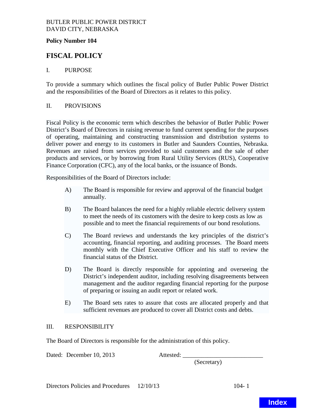## <span id="page-9-0"></span>BUTLER PUBLIC POWER DISTRICT DAVID CITY, NEBRASKA

## **Policy Number 104**

# **FISCAL POLICY**

## I. PURPOSE

To provide a summary which outlines the fiscal policy of Butler Public Power District and the responsibilities of the Board of Directors as it relates to this policy.

## II. PROVISIONS

Fiscal Policy is the economic term which describes the behavior of Butler Public Power District's Board of Directors in raising revenue to fund current spending for the purposes of operating, maintaining and constructing transmission and distribution systems to deliver power and energy to its customers in Butler and Saunders Counties, Nebraska. Revenues are raised from services provided to said customers and the sale of other products and services, or by borrowing from Rural Utility Services (RUS), Cooperative Finance Corporation (CFC), any of the local banks, or the issuance of Bonds.

Responsibilities of the Board of Directors include:

- A) The Board is responsible for review and approval of the financial budget annually.
- B) The Board balances the need for a highly reliable electric delivery system to meet the needs of its customers with the desire to keep costs as low as possible and to meet the financial requirements of our bond resolutions.
- C) The Board reviews and understands the key principles of the district's accounting, financial reporting, and auditing processes. The Board meets monthly with the Chief Executive Officer and his staff to review the financial status of the District.
- D) The Board is directly responsible for appointing and overseeing the District's independent auditor, including resolving disagreements between management and the auditor regarding financial reporting for the purpose of preparing or issuing an audit report or related work.
- E) The Board sets rates to assure that costs are allocated properly and that sufficient revenues are produced to cover all District costs and debts.

## III. RESPONSIBILITY

The Board of Directors is responsible for the administration of this policy.

Dated: December 10, 2013 Attested:

(Secretary)